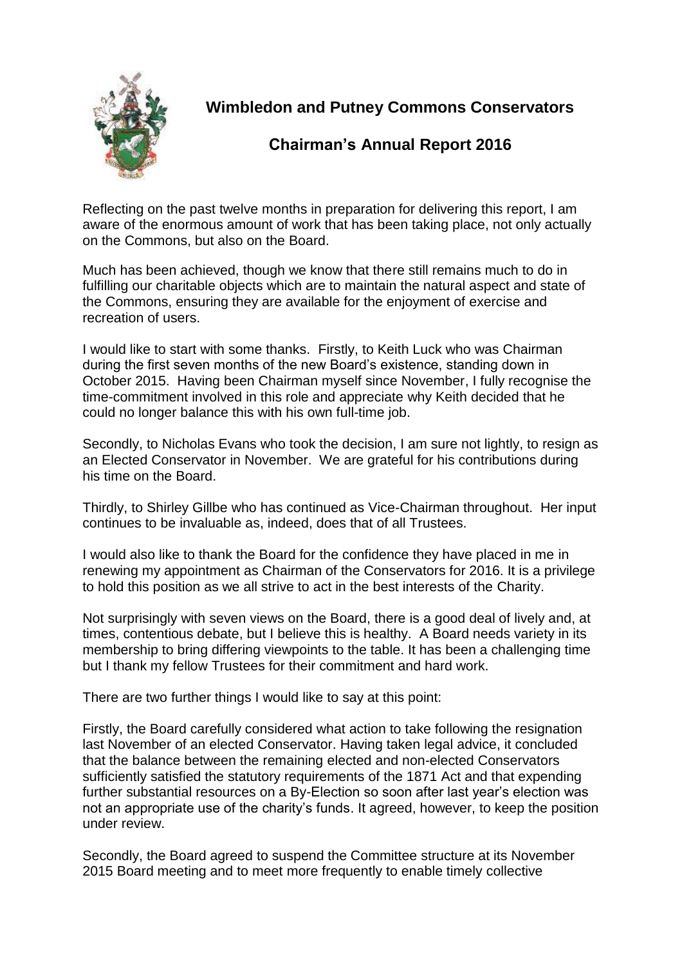

## **Wimbledon and Putney Commons Conservators**

## **Chairman's Annual Report 2016**

Reflecting on the past twelve months in preparation for delivering this report, I am aware of the enormous amount of work that has been taking place, not only actually on the Commons, but also on the Board.

Much has been achieved, though we know that there still remains much to do in fulfilling our charitable objects which are to maintain the natural aspect and state of the Commons, ensuring they are available for the enjoyment of exercise and recreation of users.

I would like to start with some thanks. Firstly, to Keith Luck who was Chairman during the first seven months of the new Board's existence, standing down in October 2015. Having been Chairman myself since November, I fully recognise the time-commitment involved in this role and appreciate why Keith decided that he could no longer balance this with his own full-time job.

Secondly, to Nicholas Evans who took the decision, I am sure not lightly, to resign as an Elected Conservator in November. We are grateful for his contributions during his time on the Board.

Thirdly, to Shirley Gillbe who has continued as Vice-Chairman throughout. Her input continues to be invaluable as, indeed, does that of all Trustees.

I would also like to thank the Board for the confidence they have placed in me in renewing my appointment as Chairman of the Conservators for 2016. It is a privilege to hold this position as we all strive to act in the best interests of the Charity.

Not surprisingly with seven views on the Board, there is a good deal of lively and, at times, contentious debate, but I believe this is healthy. A Board needs variety in its membership to bring differing viewpoints to the table. It has been a challenging time but I thank my fellow Trustees for their commitment and hard work.

There are two further things I would like to say at this point:

Firstly, the Board carefully considered what action to take following the resignation last November of an elected Conservator. Having taken legal advice, it concluded that the balance between the remaining elected and non-elected Conservators sufficiently satisfied the statutory requirements of the 1871 Act and that expending further substantial resources on a By-Election so soon after last year's election was not an appropriate use of the charity's funds. It agreed, however, to keep the position under review.

Secondly, the Board agreed to suspend the Committee structure at its November 2015 Board meeting and to meet more frequently to enable timely collective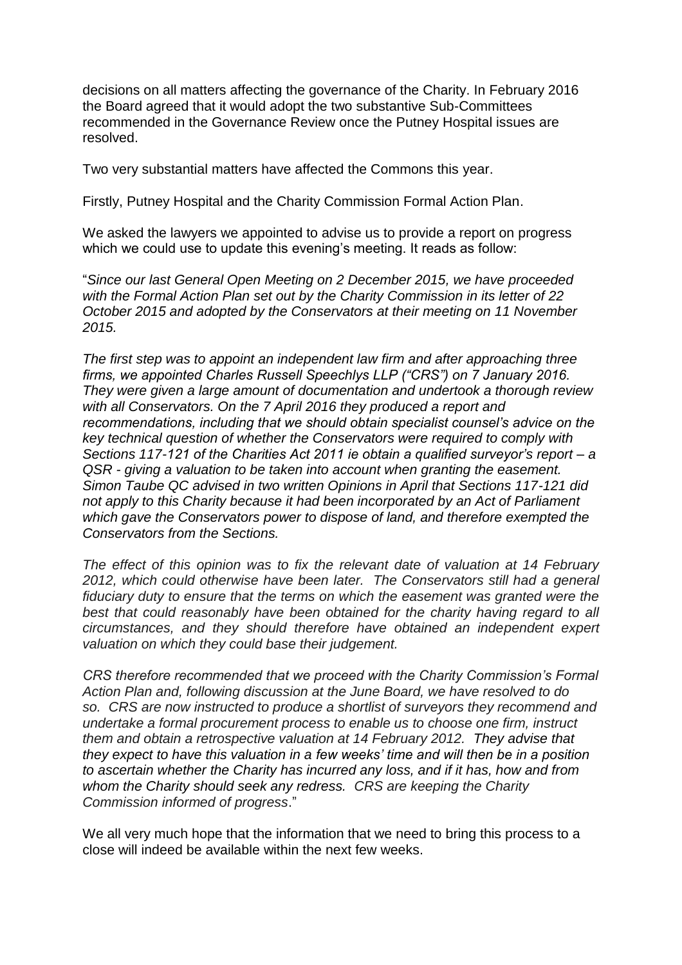decisions on all matters affecting the governance of the Charity. In February 2016 the Board agreed that it would adopt the two substantive Sub-Committees recommended in the Governance Review once the Putney Hospital issues are resolved.

Two very substantial matters have affected the Commons this year.

Firstly, Putney Hospital and the Charity Commission Formal Action Plan.

We asked the lawyers we appointed to advise us to provide a report on progress which we could use to update this evening's meeting. It reads as follow:

"*Since our last General Open Meeting on 2 December 2015, we have proceeded with the Formal Action Plan set out by the Charity Commission in its letter of 22 October 2015 and adopted by the Conservators at their meeting on 11 November 2015.* 

*The first step was to appoint an independent law firm and after approaching three firms, we appointed Charles Russell Speechlys LLP ("CRS") on 7 January 2016. They were given a large amount of documentation and undertook a thorough review with all Conservators. On the 7 April 2016 they produced a report and recommendations, including that we should obtain specialist counsel's advice on the key technical question of whether the Conservators were required to comply with Sections 117-121 of the Charities Act 2011 ie obtain a qualified surveyor's report – a QSR - giving a valuation to be taken into account when granting the easement. Simon Taube QC advised in two written Opinions in April that Sections 117-121 did not apply to this Charity because it had been incorporated by an Act of Parliament which gave the Conservators power to dispose of land, and therefore exempted the Conservators from the Sections.* 

*The effect of this opinion was to fix the relevant date of valuation at 14 February 2012, which could otherwise have been later. The Conservators still had a general fiduciary duty to ensure that the terms on which the easement was granted were the*  best that could reasonably have been obtained for the charity having regard to all *circumstances, and they should therefore have obtained an independent expert valuation on which they could base their judgement.*

*CRS therefore recommended that we proceed with the Charity Commission's Formal Action Plan and, following discussion at the June Board, we have resolved to do so. CRS are now instructed to produce a shortlist of surveyors they recommend and undertake a formal procurement process to enable us to choose one firm, instruct them and obtain a retrospective valuation at 14 February 2012. They advise that they expect to have this valuation in a few weeks' time and will then be in a position to ascertain whether the Charity has incurred any loss, and if it has, how and from whom the Charity should seek any redress. CRS are keeping the Charity Commission informed of progress*."

We all very much hope that the information that we need to bring this process to a close will indeed be available within the next few weeks.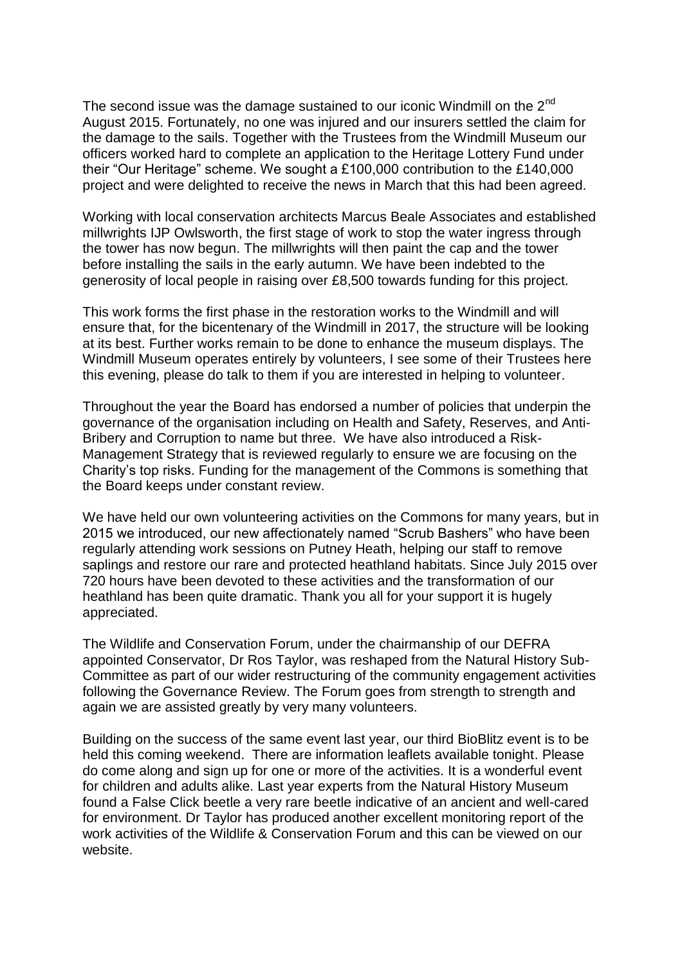The second issue was the damage sustained to our iconic Windmill on the  $2^{nd}$ August 2015. Fortunately, no one was injured and our insurers settled the claim for the damage to the sails. Together with the Trustees from the Windmill Museum our officers worked hard to complete an application to the Heritage Lottery Fund under their "Our Heritage" scheme. We sought a £100,000 contribution to the £140,000 project and were delighted to receive the news in March that this had been agreed.

Working with local conservation architects Marcus Beale Associates and established millwrights IJP Owlsworth, the first stage of work to stop the water ingress through the tower has now begun. The millwrights will then paint the cap and the tower before installing the sails in the early autumn. We have been indebted to the generosity of local people in raising over £8,500 towards funding for this project.

This work forms the first phase in the restoration works to the Windmill and will ensure that, for the bicentenary of the Windmill in 2017, the structure will be looking at its best. Further works remain to be done to enhance the museum displays. The Windmill Museum operates entirely by volunteers, I see some of their Trustees here this evening, please do talk to them if you are interested in helping to volunteer.

Throughout the year the Board has endorsed a number of policies that underpin the governance of the organisation including on Health and Safety, Reserves, and Anti-Bribery and Corruption to name but three. We have also introduced a Risk-Management Strategy that is reviewed regularly to ensure we are focusing on the Charity's top risks. Funding for the management of the Commons is something that the Board keeps under constant review.

We have held our own volunteering activities on the Commons for many years, but in 2015 we introduced, our new affectionately named "Scrub Bashers" who have been regularly attending work sessions on Putney Heath, helping our staff to remove saplings and restore our rare and protected heathland habitats. Since July 2015 over 720 hours have been devoted to these activities and the transformation of our heathland has been quite dramatic. Thank you all for your support it is hugely appreciated.

The Wildlife and Conservation Forum, under the chairmanship of our DEFRA appointed Conservator, Dr Ros Taylor, was reshaped from the Natural History Sub-Committee as part of our wider restructuring of the community engagement activities following the Governance Review. The Forum goes from strength to strength and again we are assisted greatly by very many volunteers.

Building on the success of the same event last year, our third BioBlitz event is to be held this coming weekend. There are information leaflets available tonight. Please do come along and sign up for one or more of the activities. It is a wonderful event for children and adults alike. Last year experts from the Natural History Museum found a False Click beetle a very rare beetle indicative of an ancient and well-cared for environment. Dr Taylor has produced another excellent monitoring report of the work activities of the Wildlife & Conservation Forum and this can be viewed on our website.